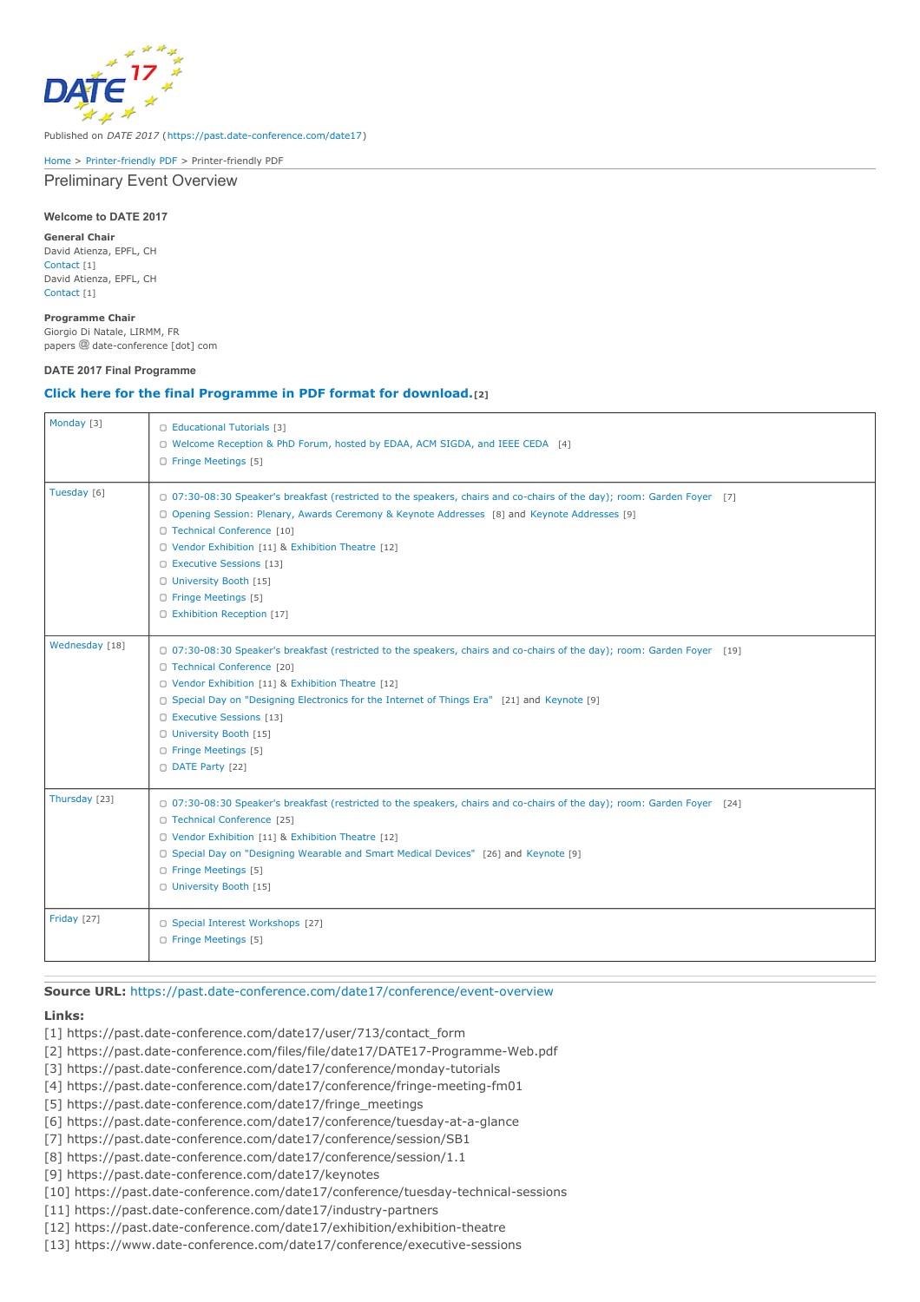

Published on *DATE 2017* (<https://past.date-conference.com/date17>)

[Home](https://past.date-conference.com/date17) > [Printer-friendly](https://past.date-conference.com/date17/printpdf) PDF > Printer-friendly PDF

Preliminary Event Overview

#### **Welcome to DATE 2017**

**General Chair** David Atienza, EPFL, CH [Contact](https://past.date-conference.com/date17/user/713/contact_form) [1] David Atienza, EPFL, CH [Contact](https://past.date-conference.com/date17/user/713/contact_form) [1]

### **Programme Chair**

Giorgio Di Natale, LIRMM, FR papers @ date-conference [dot] com

#### **DATE 2017 Final Programme**

## **Click here for the final [Programme](https://past.date-conference.com/files/file/date17/DATE17-Programme-Web.pdf) in PDF format for download.[2]**

| Monday [3]         | C Educational Tutorials [3]<br>C Welcome Reception & PhD Forum, hosted by EDAA, ACM SIGDA, and IEEE CEDA [4]<br><b>C</b> Fringe Meetings [5]                                                                                                                                                                                                                                                                                                                |
|--------------------|-------------------------------------------------------------------------------------------------------------------------------------------------------------------------------------------------------------------------------------------------------------------------------------------------------------------------------------------------------------------------------------------------------------------------------------------------------------|
| Tuesday [6]        | 0 07:30-08:30 Speaker's breakfast (restricted to the speakers, chairs and co-chairs of the day); room: Garden Foyer [7]<br><b>Q Opening Session: Plenary, Awards Ceremony &amp; Keynote Addresses</b> [8] and Keynote Addresses [9]<br><b>C</b> Technical Conference [10]<br>O Vendor Exhibition [11] & Exhibition Theatre [12]<br><b>C</b> Executive Sessions [13]<br>University Booth [15]<br><b>C</b> Fringe Meetings [5]<br>C Exhibition Reception [17] |
| Wednesday [18]     | 0 07:30-08:30 Speaker's breakfast (restricted to the speakers, chairs and co-chairs of the day); room: Garden Foyer [19]<br><b>C</b> Technical Conference [20]<br>O Vendor Exhibition [11] & Exhibition Theatre [12]<br><b>C</b> Special Day on "Designing Electronics for the Internet of Things Era" [21] and Keynote [9]<br><b>C</b> Executive Sessions [13]<br>University Booth [15]<br><b>C</b> Fringe Meetings [5]<br>D DATE Party [22]               |
| Thursday [23]      | 0 07:30-08:30 Speaker's breakfast (restricted to the speakers, chairs and co-chairs of the day); room: Garden Foyer [24]<br>C Technical Conference [25]<br>C Vendor Exhibition [11] & Exhibition Theatre [12]<br><b>C</b> Special Day on "Designing Wearable and Smart Medical Devices" [26] and Keynote [9]<br><b>C</b> Fringe Meetings [5]<br>University Booth [15]                                                                                       |
| <b>Friday</b> [27] | Special Interest Workshops [27]<br><b>C</b> Fringe Meetings [5]                                                                                                                                                                                                                                                                                                                                                                                             |

**Source URL:** <https://past.date-conference.com/date17/conference/event-overview>

# **Links:**

- [1] https://past.date-conference.com/date17/user/713/contact\_form
- [2] https://past.date-conference.com/files/file/date17/DATE17-Programme-Web.pdf
- [3] https://past.date-conference.com/date17/conference/monday-tutorials
- [4] https://past.date-conference.com/date17/conference/fringe-meeting-fm01
- [5] https://past.date-conference.com/date17/fringe\_meetings
- [6] https://past.date-conference.com/date17/conference/tuesday-at-a-glance
- [7] https://past.date-conference.com/date17/conference/session/SB1
- [8] https://past.date-conference.com/date17/conference/session/1.1
- [9] https://past.date-conference.com/date17/keynotes
- [10] https://past.date-conference.com/date17/conference/tuesday-technical-sessions
- [11] https://past.date-conference.com/date17/industry-partners
- [12] https://past.date-conference.com/date17/exhibition/exhibition-theatre
- [13] https://www.date-conference.com/date17/conference/executive-sessions